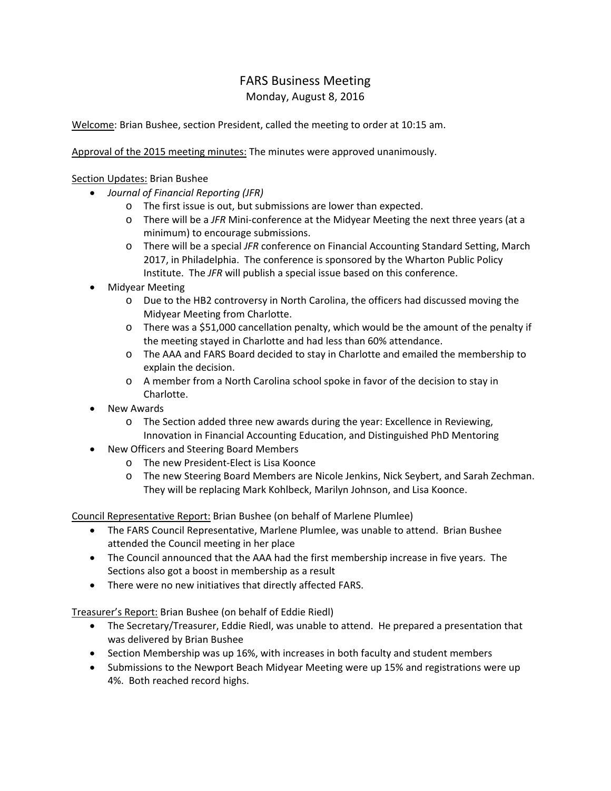## FARS Business Meeting

Monday, August 8, 2016

Welcome: Brian Bushee, section President, called the meeting to order at 10:15 am.

Approval of the 2015 meeting minutes: The minutes were approved unanimously.

## Section Updates: Brian Bushee

- *Journal of Financial Reporting (JFR)*
	- o The first issue is out, but submissions are lower than expected.
	- o There will be a *JFR* Mini‐conference at the Midyear Meeting the next three years (at a minimum) to encourage submissions.
	- o There will be a special *JFR* conference on Financial Accounting Standard Setting, March 2017, in Philadelphia. The conference is sponsored by the Wharton Public Policy Institute. The *JFR* will publish a special issue based on this conference.
- Midyear Meeting
	- o Due to the HB2 controversy in North Carolina, the officers had discussed moving the Midyear Meeting from Charlotte.
	- o There was a \$51,000 cancellation penalty, which would be the amount of the penalty if the meeting stayed in Charlotte and had less than 60% attendance.
	- o The AAA and FARS Board decided to stay in Charlotte and emailed the membership to explain the decision.
	- o A member from a North Carolina school spoke in favor of the decision to stay in Charlotte.
- New Awards
	- o The Section added three new awards during the year: Excellence in Reviewing, Innovation in Financial Accounting Education, and Distinguished PhD Mentoring
- New Officers and Steering Board Members
	- o The new President‐Elect is Lisa Koonce
	- o The new Steering Board Members are Nicole Jenkins, Nick Seybert, and Sarah Zechman. They will be replacing Mark Kohlbeck, Marilyn Johnson, and Lisa Koonce.

Council Representative Report: Brian Bushee (on behalf of Marlene Plumlee)

- The FARS Council Representative, Marlene Plumlee, was unable to attend. Brian Bushee attended the Council meeting in her place
- The Council announced that the AAA had the first membership increase in five years. The Sections also got a boost in membership as a result
- There were no new initiatives that directly affected FARS.

Treasurer's Report: Brian Bushee (on behalf of Eddie Riedl)

- The Secretary/Treasurer, Eddie Riedl, was unable to attend. He prepared a presentation that was delivered by Brian Bushee
- Section Membership was up 16%, with increases in both faculty and student members
- Submissions to the Newport Beach Midyear Meeting were up 15% and registrations were up 4%. Both reached record highs.